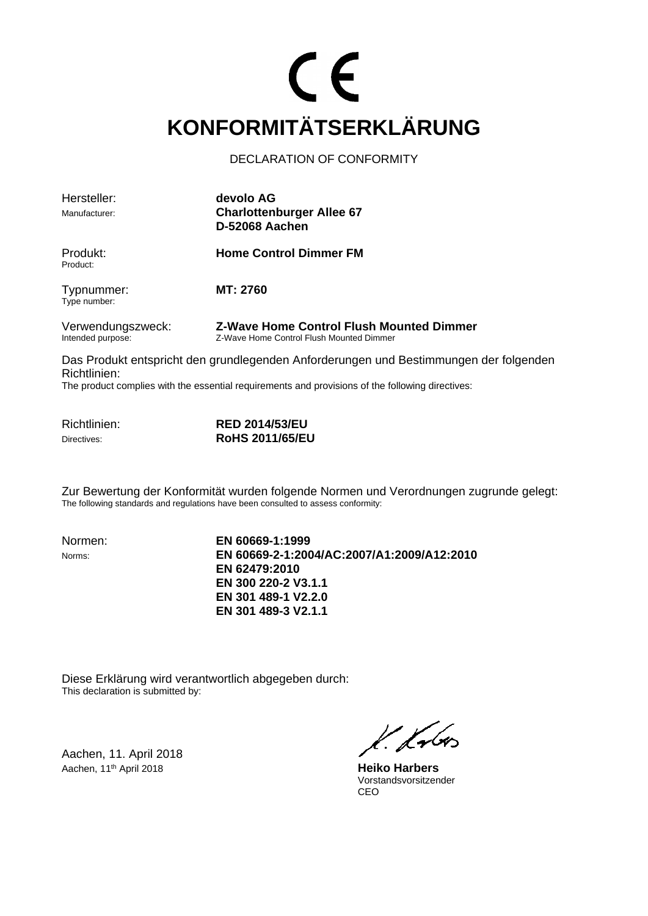# $\epsilon$ **KONFORMITÄTSERKLÄRUNG**

DECLARATION OF CONFORMITY

| Hersteller:                            | devolo AG                                                                                   |  |  |
|----------------------------------------|---------------------------------------------------------------------------------------------|--|--|
| Manufacturer:                          | <b>Charlottenburger Allee 67</b><br><b>D-52068 Aachen</b>                                   |  |  |
| Produkt:<br>Product:                   | <b>Home Control Dimmer FM</b>                                                               |  |  |
| Typnummer:<br>Type number:             | <b>MT: 2760</b>                                                                             |  |  |
| Verwendungszweck:<br>Intended purpose: | <b>Z-Wave Home Control Flush Mounted Dimmer</b><br>Z-Wave Home Control Flush Mounted Dimmer |  |  |
| Richtlinien:                           | Das Produkt entspricht den grundlegenden Anforderungen und Bestimmungen der folgenden       |  |  |

The product complies with the essential requirements and provisions of the following directives:

| Richtlinien: | <b>RED 2014/53/EU</b>  |
|--------------|------------------------|
| Directives:  | <b>RoHS 2011/65/EU</b> |

Zur Bewertung der Konformität wurden folgende Normen und Verordnungen zugrunde gelegt: The following standards and regulations have been consulted to assess conformity:

Normen: **EN 60669-1:1999** Norms: **EN 60669-2-1:2004/AC:2007/A1:2009/A12:2010 EN 62479:2010 EN 300 220-2 V3.1.1 EN 301 489-1 V2.2.0 EN 301 489-3 V2.1.1**

Diese Erklärung wird verantwortlich abgegeben durch: This declaration is submitted by:

Aachen, 11. April 2018 Aachen, 11th April 2018 **Heiko Harbers**

l. Lubes

 Vorstandsvorsitzender ing the contract of the contract of the contract of the contract of the contract of the contract of the contract of the contract of the contract of the contract of the contract of the contract of the contract of the contra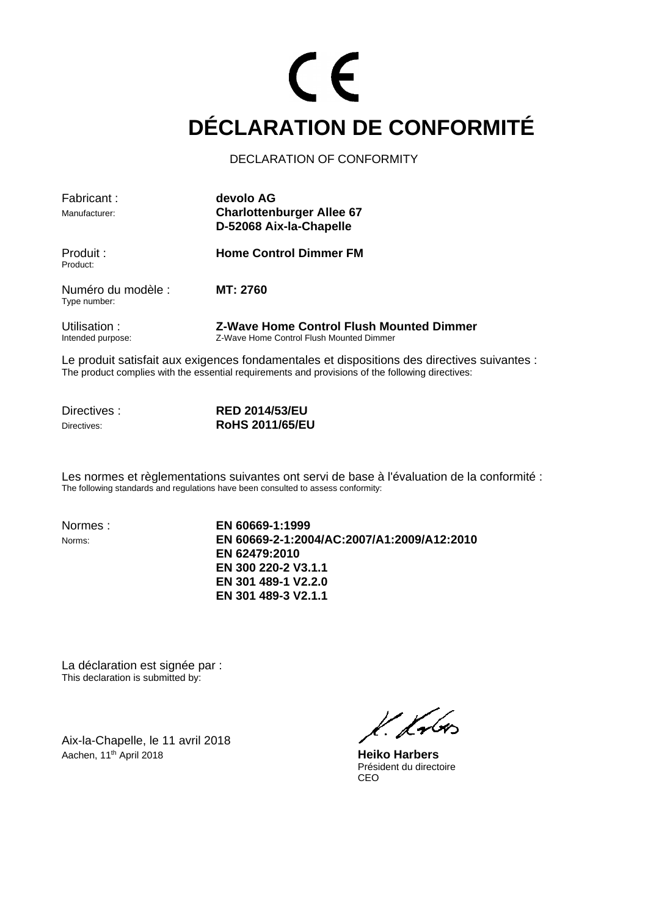### CE **DÉCLARATION DE CONFORMITÉ**

#### DECLARATION OF CONFORMITY

| Fabricant:                         | devolo AG                                                                                   |
|------------------------------------|---------------------------------------------------------------------------------------------|
| Manufacturer:                      | <b>Charlottenburger Allee 67</b>                                                            |
|                                    | D-52068 Aix-la-Chapelle                                                                     |
| Produit :<br>Product:              | <b>Home Control Dimmer FM</b>                                                               |
| Numéro du modèle :<br>Type number: | <b>MT: 2760</b>                                                                             |
| Utilisation:<br>Intended purpose:  | <b>Z-Wave Home Control Flush Mounted Dimmer</b><br>Z-Wave Home Control Flush Mounted Dimmer |

Le produit satisfait aux exigences fondamentales et dispositions des directives suivantes : The product complies with the essential requirements and provisions of the following directives:

Directives : **RED 2014/53/EU** Directives: **RoHS 2011/65/EU**

Les normes et règlementations suivantes ont servi de base à l'évaluation de la conformité : The following standards and regulations have been consulted to assess conformity:

Normes : **EN 60669-1:1999** Norms: **EN 60669-2-1:2004/AC:2007/A1:2009/A12:2010 EN 62479:2010 EN 300 220-2 V3.1.1 EN 301 489-1 V2.2.0 EN 301 489-3 V2.1.1**

La déclaration est signée par : This declaration is submitted by:

Aix-la-Chapelle, le 11 avril 2018 Aachen, 11<sup>th</sup> April 2018 **Heiko Harbers** 

l. fr6os

Président du directoire CEO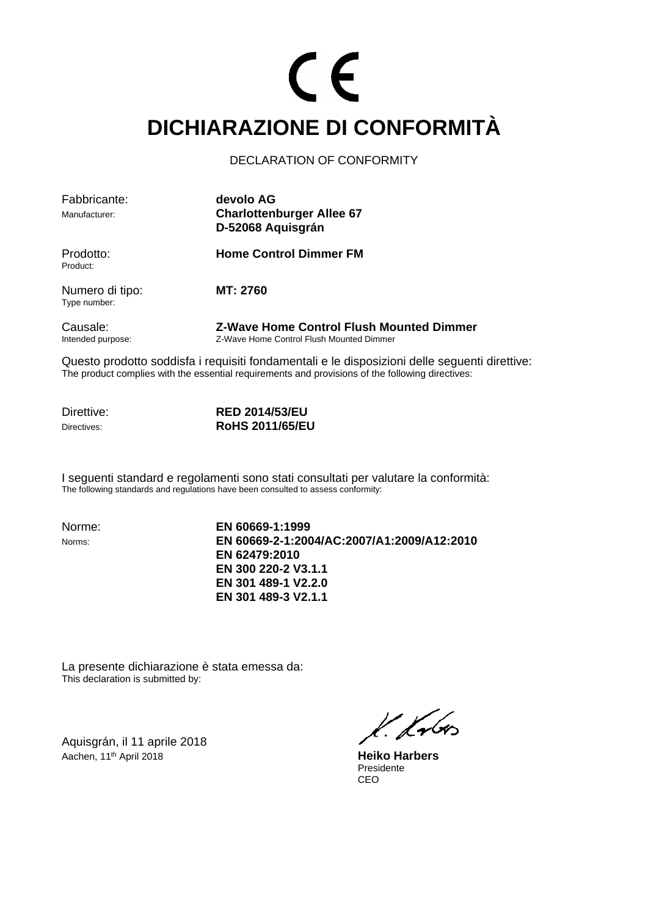## CE **DICHIARAZIONE DI CONFORMITÀ**

DECLARATION OF CONFORMITY

| Fabbricante:                    | devolo AG                                                                            |
|---------------------------------|--------------------------------------------------------------------------------------|
| Manufacturer:                   | <b>Charlottenburger Allee 67</b><br>D-52068 Aquisgrán                                |
| Prodotto:<br>Product:           | <b>Home Control Dimmer FM</b>                                                        |
| Numero di tipo:<br>Type number: | MT: 2760                                                                             |
| Causale:<br>Intended purpose:   | Z-Wave Home Control Flush Mounted Dimmer<br>Z-Wave Home Control Flush Mounted Dimmer |

Questo prodotto soddisfa i requisiti fondamentali e le disposizioni delle seguenti direttive: The product complies with the essential requirements and provisions of the following directives:

**Direttive: RED 2014/53/EU**<br> **RED 2014/65/EU**<br> **RoHS 2011/65/EI** Directives: **RoHS 2011/65/EU**

I seguenti standard e regolamenti sono stati consultati per valutare la conformità: The following standards and regulations have been consulted to assess conformity:

Norme: **EN 60669-1:1999** Norms: **EN 60669-2-1:2004/AC:2007/A1:2009/A12:2010 EN 62479:2010 EN 300 220-2 V3.1.1 EN 301 489-1 V2.2.0 EN 301 489-3 V2.1.1**

La presente dichiarazione è stata emessa da: This declaration is submitted by:

Aquisgrán, il 11 aprile 2018 Aachen, 11th April 2018 **Heiko Harbers**

k. Kr6o

Presidente<br>CEO ing the contract of the contract of the contract of the contract of the contract of the contract of the contract of the contract of the contract of the contract of the contract of the contract of the contract of the contra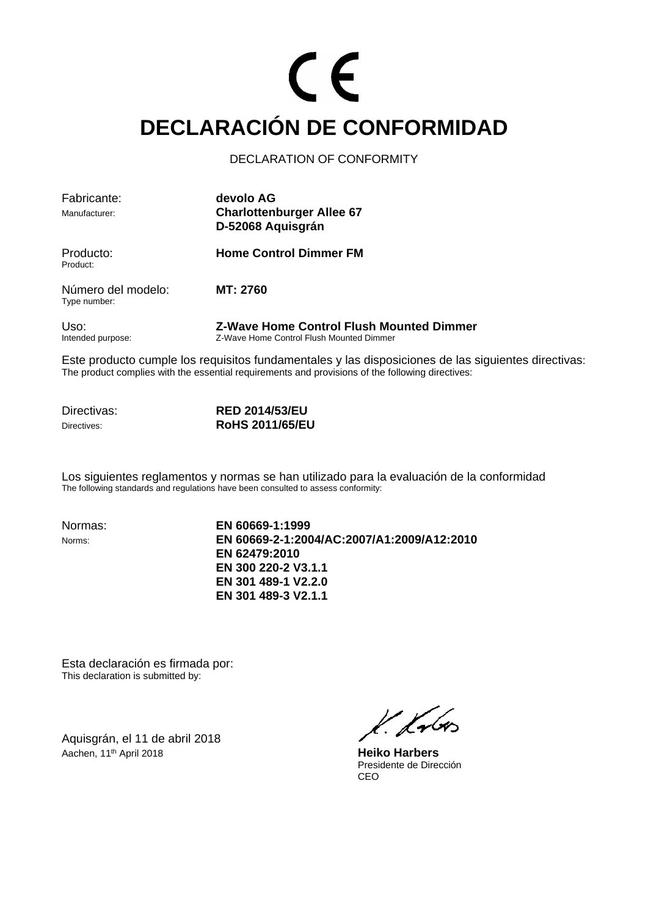## CE **DECLARACIÓN DE CONFORMIDAD**

#### DECLARATION OF CONFORMITY

| Fabricante:                        | devolo AG                                                                                   |
|------------------------------------|---------------------------------------------------------------------------------------------|
| Manufacturer:                      | <b>Charlottenburger Allee 67</b><br>D-52068 Aquisgrán                                       |
| Producto:<br>Product:              | <b>Home Control Dimmer FM</b>                                                               |
| Número del modelo:<br>Type number: | MT: 2760                                                                                    |
| Uso:<br>Intended purpose:          | <b>Z-Wave Home Control Flush Mounted Dimmer</b><br>Z-Wave Home Control Flush Mounted Dimmer |

Este producto cumple los requisitos fundamentales y las disposiciones de las siguientes directivas: The product complies with the essential requirements and provisions of the following directives:

Directivas: **RED 2014/53/EU** Directives: **RoHS 2011/65/EU**

Los siguientes reglamentos y normas se han utilizado para la evaluación de la conformidad The following standards and regulations have been consulted to assess conformity:

Normas: **EN 60669-1:1999** Norms: **EN 60669-2-1:2004/AC:2007/A1:2009/A12:2010 EN 62479:2010 EN 300 220-2 V3.1.1 EN 301 489-1 V2.2.0 EN 301 489-3 V2.1.1**

Esta declaración es firmada por: This declaration is submitted by:

Aquisgrán, el 11 de abril 2018 Aachen, 11<sup>th</sup> April 2018 **Heiko Harbers** 

l. Lubos

 Presidente de Dirección ing the contract of the contract of the contract of the contract of the contract of the contract of the contract of the contract of the contract of the contract of the contract of the contract of the contract of the contra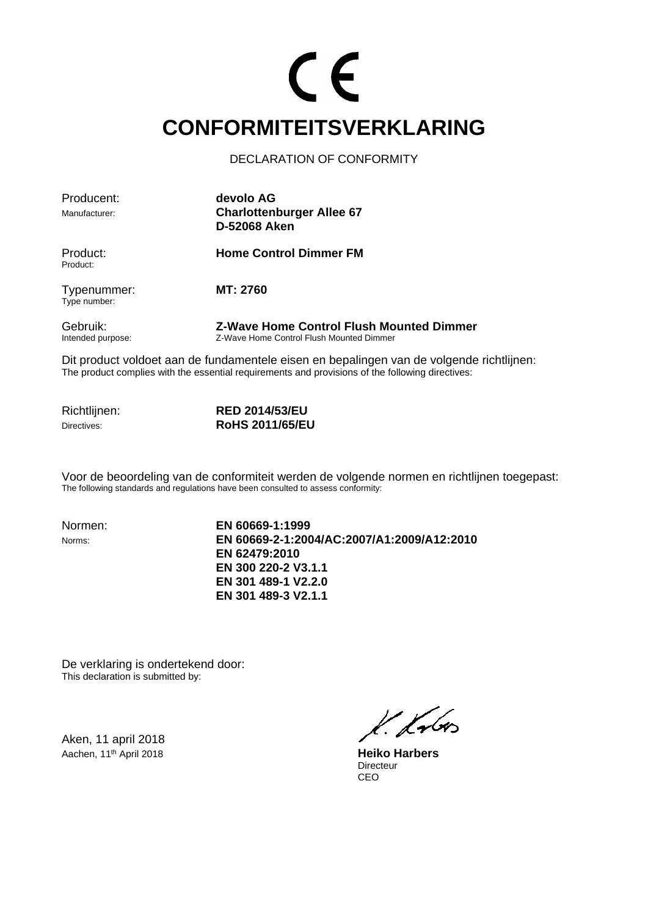#### CE **CONFORMITEITSVERKLARING**

DECLARATION OF CONFORMITY

| Producent:                    | devolo AG                                                                                   |  |
|-------------------------------|---------------------------------------------------------------------------------------------|--|
| Manufacturer:                 | <b>Charlottenburger Allee 67</b><br>D-52068 Aken                                            |  |
| Product:<br>Product:          | <b>Home Control Dimmer FM</b>                                                               |  |
| Typenummer:<br>Type number:   | MT: 2760                                                                                    |  |
| Gebruik:<br>Intended purpose: | <b>Z-Wave Home Control Flush Mounted Dimmer</b><br>Z-Wave Home Control Flush Mounted Dimmer |  |

Dit product voldoet aan de fundamentele eisen en bepalingen van de volgende richtlijnen: The product complies with the essential requirements and provisions of the following directives:

Richtlijnen: **RED 2014/53/EU** Directives: **RoHS 2011/65/EU**

Voor de beoordeling van de conformiteit werden de volgende normen en richtlijnen toegepast: The following standards and regulations have been consulted to assess conformity:

Normen: **EN 60669-1:1999** Norms: **EN 60669-2-1:2004/AC:2007/A1:2009/A12:2010 EN 62479:2010 EN 300 220-2 V3.1.1 EN 301 489-1 V2.2.0 EN 301 489-3 V2.1.1**

De verklaring is ondertekend door: This declaration is submitted by:

Aken, 11 april 2018 Aachen, 11<sup>th</sup> April 2018 **Heiko Harbers** 

l. Lubos

Directeur<br>CEO ing the contract of the contract of the contract of the contract of the contract of the contract of the contract of the contract of the contract of the contract of the contract of the contract of the contract of the contra